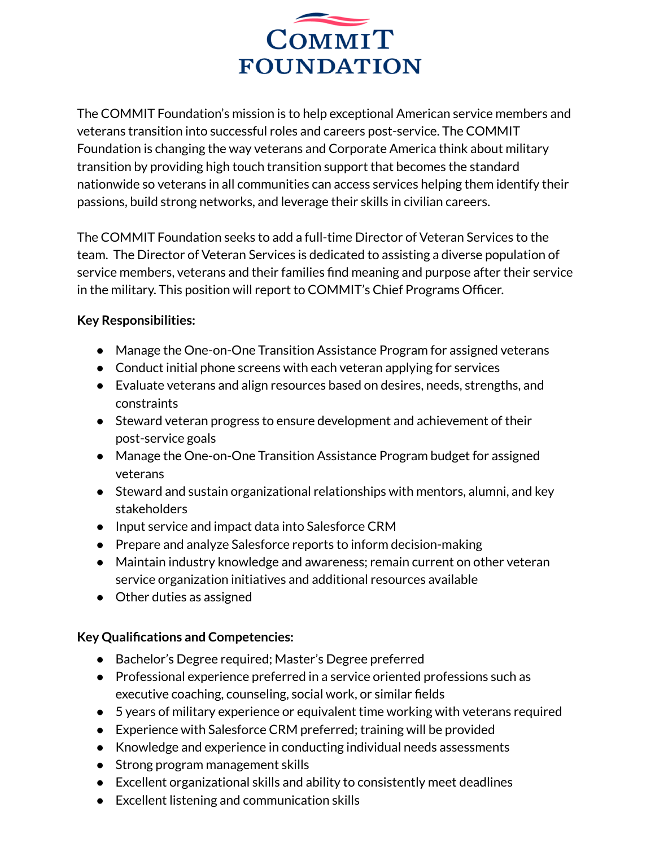

The COMMIT Foundation's mission is to help exceptional American service members and veterans transition into successful roles and careers post-service. The COMMIT Foundation is changing the way veterans and Corporate America think about military transition by providing high touch transition support that becomes the standard nationwide so veterans in all communities can access services helping them identify their passions, build strong networks, and leverage their skills in civilian careers.

The COMMIT Foundation seeks to add a full-time Director of Veteran Services to the team. The Director of Veteran Services is dedicated to assisting a diverse population of service members, veterans and their families find meaning and purpose after their service in the military. This position will report to COMMIT's Chief Programs Officer.

## **Key Responsibilities:**

- Manage the One-on-One Transition Assistance Program for assigned veterans
- Conduct initial phone screens with each veteran applying for services
- Evaluate veterans and align resources based on desires, needs, strengths, and constraints
- Steward veteran progress to ensure development and achievement of their post-service goals
- Manage the One-on-One Transition Assistance Program budget for assigned veterans
- Steward and sustain organizational relationships with mentors, alumni, and key stakeholders
- Input service and impact data into Salesforce CRM
- Prepare and analyze Salesforce reports to inform decision-making
- Maintain industry knowledge and awareness; remain current on other veteran service organization initiatives and additional resources available
- Other duties as assigned

## **Key Qualifications and Competencies:**

- Bachelor's Degree required; Master's Degree preferred
- Professional experience preferred in a service oriented professions such as executive coaching, counseling, social work, or similar fields
- 5 years of military experience or equivalent time working with veterans required
- Experience with Salesforce CRM preferred; training will be provided
- Knowledge and experience in conducting individual needs assessments
- Strong program management skills
- Excellent organizational skills and ability to consistently meet deadlines
- Excellent listening and communication skills